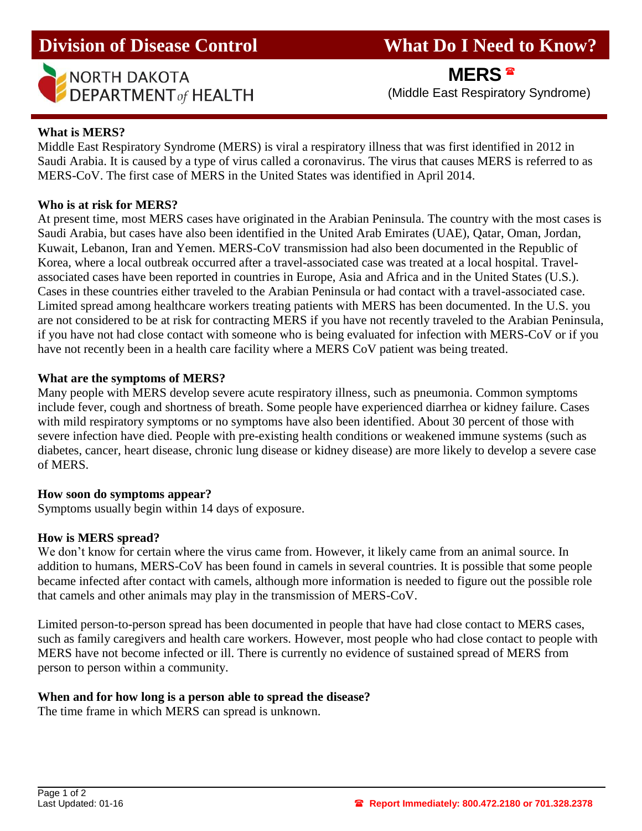# **Division of Disease Control What Do I Need to Know?**



I

**MERS**

**NORTH DAKOTA**<br> **DEPARTMENT** of HEALTH (Middle East Respiratory Syndrome)

# **What is MERS?**

Middle East Respiratory Syndrome (MERS) is viral a respiratory illness that was first identified in 2012 in Saudi Arabia. It is caused by a type of virus called a coronavirus. The virus that causes MERS is referred to as MERS-CoV. The first case of MERS in the United States was identified in April 2014.

## **Who is at risk for MERS?**

At present time, most MERS cases have originated in the Arabian Peninsula. The country with the most cases is Saudi Arabia, but cases have also been identified in the United Arab Emirates (UAE), Qatar, Oman, Jordan, Kuwait, Lebanon, Iran and Yemen. MERS-CoV transmission had also been documented in the Republic of Korea, where a local outbreak occurred after a travel-associated case was treated at a local hospital. Travelassociated cases have been reported in countries in Europe, Asia and Africa and in the United States (U.S.). Cases in these countries either traveled to the Arabian Peninsula or had contact with a travel-associated case. Limited spread among healthcare workers treating patients with MERS has been documented. In the U.S. you are not considered to be at risk for contracting MERS if you have not recently traveled to the Arabian Peninsula, if you have not had close contact with someone who is being evaluated for infection with MERS-CoV or if you have not recently been in a health care facility where a MERS CoV patient was being treated.

## **What are the symptoms of MERS?**

Many people with MERS develop severe acute respiratory illness, such as pneumonia. Common symptoms include fever, cough and shortness of breath. Some people have experienced diarrhea or kidney failure. Cases with mild respiratory symptoms or no symptoms have also been identified. About 30 percent of those with severe infection have died. People with pre-existing health conditions or weakened immune systems (such as diabetes, cancer, heart disease, chronic lung disease or kidney disease) are more likely to develop a severe case of MERS.

## **How soon do symptoms appear?**

Symptoms usually begin within 14 days of exposure.

## **How is MERS spread?**

We don't know for certain where the virus came from. However, it likely came from an animal source. In addition to humans, MERS-CoV has been found in camels in several countries. It is possible that some people became infected after contact with camels, although more information is needed to figure out the possible role that camels and other animals may play in the transmission of MERS-CoV.

Limited person-to-person spread has been documented in people that have had close contact to MERS cases, such as family caregivers and health care workers. However, most people who had close contact to people with MERS have not become infected or ill. There is currently no evidence of sustained spread of MERS from person to person within a community.

## **When and for how long is a person able to spread the disease?**

The time frame in which MERS can spread is unknown.